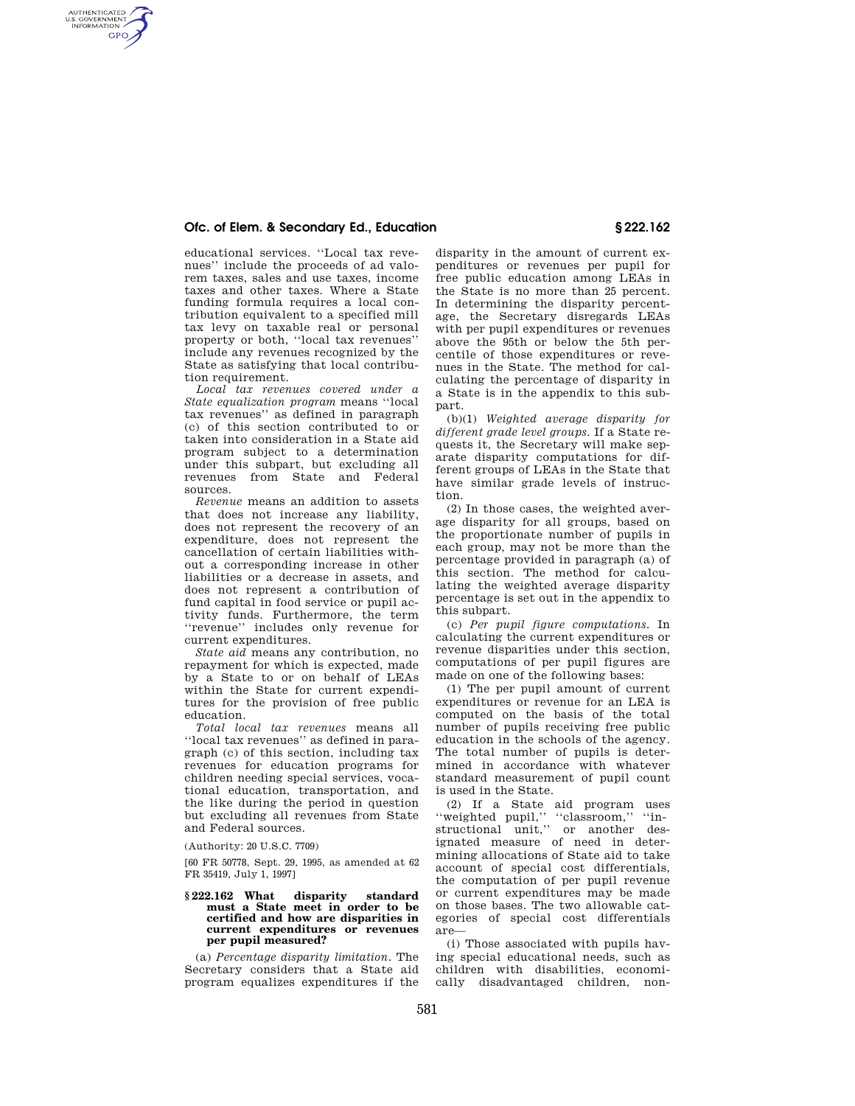# **Ofc. of Elem. & Secondary Ed., Education § 222.162**

AUTHENTICATED<br>U.S. GOVERNMENT<br>INFORMATION **GPO** 

educational services. ''Local tax revenues'' include the proceeds of ad valorem taxes, sales and use taxes, income taxes and other taxes. Where a State funding formula requires a local contribution equivalent to a specified mill tax levy on taxable real or personal property or both, ''local tax revenues'' include any revenues recognized by the State as satisfying that local contribution requirement.

*Local tax revenues covered under a State equalization program* means ''local tax revenues'' as defined in paragraph (c) of this section contributed to or taken into consideration in a State aid program subject to a determination under this subpart, but excluding all revenues from State and Federal sources.

*Revenue* means an addition to assets that does not increase any liability, does not represent the recovery of an expenditure, does not represent the cancellation of certain liabilities without a corresponding increase in other liabilities or a decrease in assets, and does not represent a contribution of fund capital in food service or pupil activity funds. Furthermore, the term ''revenue'' includes only revenue for current expenditures.

*State aid* means any contribution, no repayment for which is expected, made by a State to or on behalf of LEAs within the State for current expenditures for the provision of free public education.

*Total local tax revenues* means all ''local tax revenues'' as defined in paragraph (c) of this section, including tax revenues for education programs for children needing special services, vocational education, transportation, and the like during the period in question but excluding all revenues from State and Federal sources.

(Authority: 20 U.S.C. 7709)

[60 FR 50778, Sept. 29, 1995, as amended at 62 FR 35419, July 1, 1997]

## **§ 222.162 What disparity standard must a State meet in order to be certified and how are disparities in current expenditures or revenues per pupil measured?**

(a) *Percentage disparity limitation.* The Secretary considers that a State aid program equalizes expenditures if the disparity in the amount of current expenditures or revenues per pupil for free public education among LEAs in the State is no more than 25 percent. In determining the disparity percentage, the Secretary disregards LEAs with per pupil expenditures or revenues above the 95th or below the 5th percentile of those expenditures or revenues in the State. The method for calculating the percentage of disparity in a State is in the appendix to this subpart.

(b)(1) *Weighted average disparity for different grade level groups.* If a State requests it, the Secretary will make separate disparity computations for different groups of LEAs in the State that have similar grade levels of instruction.

(2) In those cases, the weighted average disparity for all groups, based on the proportionate number of pupils in each group, may not be more than the percentage provided in paragraph (a) of this section. The method for calculating the weighted average disparity percentage is set out in the appendix to this subpart.

(c) *Per pupil figure computations.* In calculating the current expenditures or revenue disparities under this section, computations of per pupil figures are made on one of the following bases:

(1) The per pupil amount of current expenditures or revenue for an LEA is computed on the basis of the total number of pupils receiving free public education in the schools of the agency. The total number of pupils is determined in accordance with whatever standard measurement of pupil count is used in the State.

(2) If a State aid program uses ''weighted pupil,'' ''classroom,'' ''instructional unit,'' or another designated measure of need in determining allocations of State aid to take account of special cost differentials, the computation of per pupil revenue or current expenditures may be made on those bases. The two allowable categories of special cost differentials are—

(i) Those associated with pupils having special educational needs, such as children with disabilities, economically disadvantaged children, non-